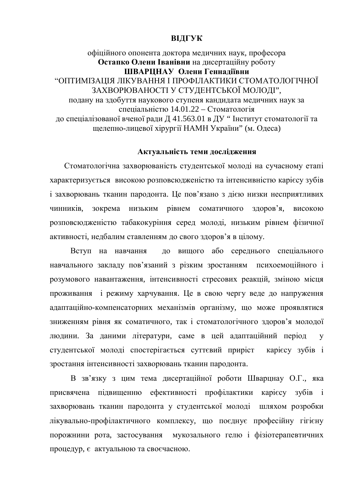# **ВІДГУК**

# офіційного опонента доктора медичних наук, професора **Остапко Олени Іванівни** на дисертаційну роботу ШВАРЦНАУ Олени Геннадіївни "ОПТИМІЗАШЯ ЛІКУВАННЯ І ПРОФІЛАКТИКИ СТОМАТОЛОГІЧНОЇ ЗАХВОРЮВАНОСТІ У СТУДЕНТСЬКОЇ МОЛОДІ", подану на здобуття наукового ступеня кандидата медичних наук за спеціальністю 14.01.22 – Стоматологія до спеціалізованої вченої ради Д 41.563.01 в ДУ" Інститут стоматології та щелепно-лицевої хірургії НАМН України" (м. Одеса)

# Актуальність теми дослідження

Стоматологічна захворюваність студентської молоді на сучасному етапі характеризується високою розповсюдженістю та інтенсивністю карієсу зубів і захворювань тканин пародонта. Це пов'язано з дією низки несприятливих чинників, зокрема низьким рівнем соматичного здоров'я, високою розповсюдженістю табакокуріння серед молоді, низьким рівнем фізичної активності, недбалим ставленням до свого здоров'я в цілому.

Вступ на навчання до вищого або середнього спеціального навчального закладу пов'язаний з різким зростанням психоемоційного і розумового навантаження, інтенсивності стресових реакцій, зміною місця проживання і режиму харчування. Це в свою чергу веде до напруження адаптаційно-компенсаторних механізмів організму, що може проявлятися зниженням рівня як соматичного, так і стоматологічного здоров'я молодої людини. За даними літератури, саме в цей адаптаційний період у студентської молоді спостерігається суттєвий приріст карієсу зубів і зростання інтенсивності захворювань тканин пародонта.

В зв'язку з цим тема дисертаційної роботи Шварцнау О.Г., яка присвячена підвищенню ефективності профілактики карієсу зубів і захворювань тканин пародонта у студентської молоді шляхом розробки лікувально-профілактичного комплексу, що поєднує професійну гігієну порожнини рота, застосування мукозального гелю і фізіотерапевтичних процедур, є актуальною та своєчасною.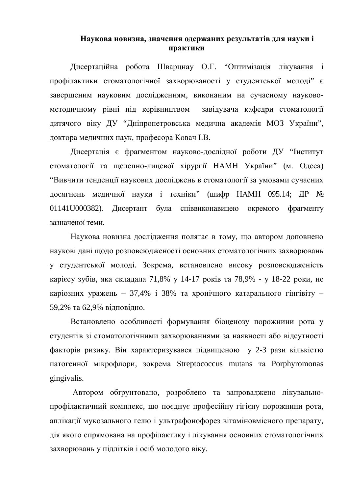# Наукова новизна, значення одержаних результатів для науки і Практики

Дисертаційна робота Шварцнау О.Г. "Оптимізація лікування і профілактики стоматологічної захворюваності у студентської молоді" є завершеним науковим дослідженням, виконаним на сучасному науковометодичному рівні під керівництвом завідувача кафедри стоматології дитячого віку ДУ "Дніпропетровська медична академія МОЗ України", доктора медичних наук, професора Ковач I.В.

Дисертація є фрагментом науково-дослідної роботи ДУ "Інститут стоматології та щелепно-лицевої хірургії НАМН України" (м. Одеса) "Вивчити тенденції наукових досліджень в стоматології за умовами сучасних досягнень медичної науки і техніки" (шифр НАМН 095.14; ДР № 01141U000382). Дисертант була співвиконавицею окремого фрагменту зазначеної теми.

Наукова новизна дослідження полягає в тому, що автором доповнено наукові дані щодо розповсюдженості основних стоматологічних захворювань у студентської молоді. Зокрема, встановлено високу розповсюдженість карієсу зубів, яка складала 71,8% у 14-17 років та 78,9% - у 18-22 роки, не каріозних уражень – 37,4% і 38% та хронічного катарального гінгівіту – 59,2% та 62,9% відповідно.

Встановлено особливості формування біоценозу порожнини рота у студентів зі стоматологічними захворюваннями за наявності або відсутності факторів ризику. Він характеризувався пілвишеною у 2-3 рази кількістю патогенної мікрофлори, зокрема Streptococcus mutans та Porphyromonas gingivalis.

Автором обгрунтовано, розроблено та запроваджено лікувальнопрофілактичний комплекс, що поєднує професійну гігієну порожнини рота, аплікації мукозального гелю і ультрафонофорез вітаміновмісного препарату, дія якого спрямована на профілактику і лікування основних стоматологічних захворювань у підлітків і осіб молодого віку.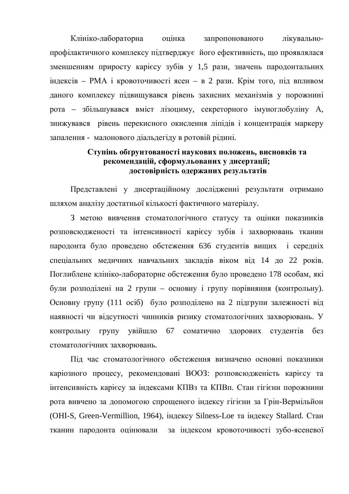Клініко-лабораторна оцінка запропонованого лікувальнопрофілактичного комплексу підтверджує його ефективність, що проявлялася зменшенням приросту карієсу зубів у 1,5 рази, значень пародонтальних  $\text{H}_A$ идексів – РМА і кровоточивості ясен – в 2 рази. Крім того, під впливом даного комплексу підвищувався рівень захисних механізмів у порожнині рота – збільшувався вміст лізоциму, секреторного імуноглобуліну А, знижувався рівень перекисного окислення ліпідів і концентрація маркеру запалення - малонового діальдегіду в ротовій рідині.

# **ɋɬɭɩɿɧɶɨɛʉɪɭɧɬɨɜɚɧɨɫɬɿɧɚɭɤɨɜɢɯɩɨɥɨɠɟɧɶ, ɜɢɫɧɨɜɤɿɜɬɚ** рекомендацій, сформульованих у дисертації; достовірність одержаних результатів

Представлені у дисертаційному дослідженні результати отримано шляхом аналізу достатньої кількості фактичного матеріалу.

З метою вивчення стоматологічного статусу та оцінки показників розповсюдженості та інтенсивності карієсу зубів і захворювань тканин пародонта було проведено обстеження 636 студентів вищих і середніх спеціальних медичних навчальних закладів віком від 14 до 22 років. Поглиблене клініко-лабораторне обстеження було проведено 178 особам, які були розподілені на 2 групи – основну і групу порівняння (контрольну). Основну групу (111 осіб) було розподілено на 2 підгрупи залежності від наявності чи відсутності чинників ризику стоматологічних захворювань. У контрольну групу увійшло 67 соматично здорових студентів без стоматологічних захворювань.

Під час стоматологічного обстеження визначено основні показники каріозного процесу, рекомендовані ВООЗ: розповсюдженість карієсу та інтенсивність карієсу за індексами КПВз та КПВп. Стан гігієни порожнини рота вивчено за допомогою спрошеного індексу гігієни за Грін-Вермільйон (OHI-S, Green-Vermillion, 1964), індексу Silness-Loe та індексу Stallard. Стан тканин пародонта оцінювали за індексом кровоточивості зубо-ясеневої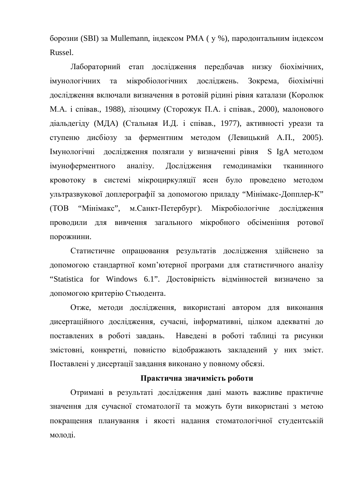борозни (SBI) за Mullemann, індексом РМА (у %), пародонтальним індексом Russel.

Лабораторний етап дослідження передбачав низку біохімічних, імунологічних та мікробіологічних лослілжень. Зокрема, біохімічні дослідження включали визначення в ротовій рідині рівня каталази (Королюк М.А. і співав., 1988), лізоциму (Сторожук П.А. і співав., 2000), малонового діальдегіду (МДА) (Стальная И.Д. і співав., 1977), активності уреази та ступеню дисбіозу за ферментним методом (Левицький А.П., 2005). Iмунологічні дослідження полягали у визначенні рівня S IgA методом імуноферментного аналізу. Дослідження гемодинаміки тканинного кровотоку в системі мікроциркуляції ясен було проведено методом ультразвукової доплерографії за допомогою приладу "Мінімакс-Допплер-К" (ТОВ "Мінімакс", м.Санкт-Петербург). Мікробіологічне дослідження проводили для вивчення загального мікробного обсіменіння ротової порожнини.

Статистичне опрацювання результатів дослідження здійснено за допомогою стандартної комп'ютерної програми для статистичного аналізу "Statistica for Windows 6.1". Лостовірність вілмінностей визначено за допомогою критерію Стьюдента.

Отже, методи дослідження, використані автором для виконання дисертаційного дослідження, сучасні, інформативні, цілком адекватні до поставлених в роботі завдань. Наведені в роботі таблиці та рисунки змістовні, конкретні, повністю відображають закладений у них зміст. Поставлені у дисертації завдання виконано у повному обсязі.

## Практична значимість роботи

Отримані в результаті дослідження дані мають важливе практичне значення для сучасної стоматології та можуть бути використані з метою покращення планування і якості надання стоматологічної студентській молоді.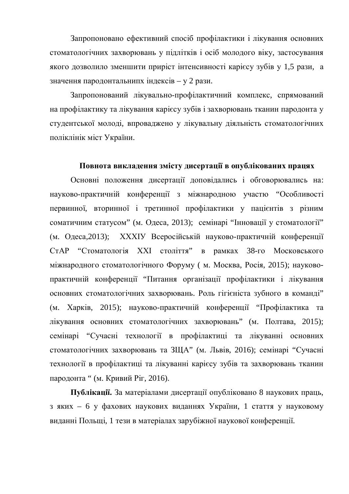Запропоновано ефективний спосіб профілактики і лікування основних стоматологічних захворювань у підлітків і осіб молодого віку, застосування якого дозволило зменшити приріст інтенсивності карієсу зубів у 1,5 рази, а значення пародонтальнипх індексів – у 2 рази.

Запропонований лікувально-профілактичний комплекс, спрямований на профілактику та лікування карієсу зубів і захворювань тканин пародонта у студентської молоді, впроваджено у лікувальну діяльність стоматологічних поліклінік міст України.

#### Повнота викладення змісту дисертації в опублікованих працях

Основні положення дисертації доповідались і обговорювались на: науково-практичній конференції з міжнародною участю "Особливості первинної, вторинної і третинної профілактики у пацієнтів з різним соматичним статусом" (м. Одеса, 2013); семінарі "Інновації у стоматології" (м. Одеса,2013); XXXIУ Всеросійській науково-практичній конференції СтАР "Стоматологія XXI століття" в рамках 38-го Московського міжнародного стоматологічного Форуму (м. Москва, Росія, 2015); науковопрактичній конференції "Питання організації профілактики і лікування основних стоматологічних захворювань. Роль гігієніста зубного в команді" (м. Харків, 2015); науково-практичній конференції "Профілактика та лікування основних стоматологічних захворювань" (м. Полтава, 2015); семінарі "Сучасні технології в профілактиці та лікуванні основних стоматологічних захворювань та ЗША" (м. Львів, 2016); семінарі "Сучасні технології в профілактиці та лікуванні карієсу зубів та захворювань тканин пародонта " (м. Кривий Ріг, 2016).

Публікації. За матеріалами дисертації опубліковано 8 наукових праць, з яких – 6 у фахових наукових виданнях України, 1 стаття у науковому виданні Польщі, 1 тези в матеріалах зарубіжної наукової конференції.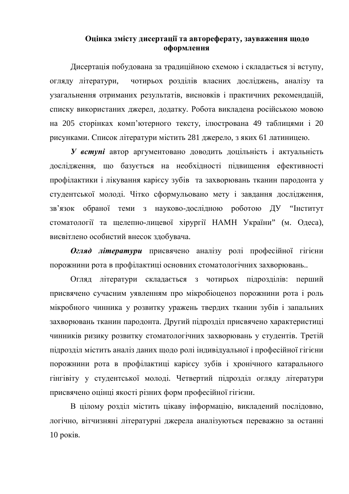# **Ɉɰɿɧɤɚɡɦɿɫɬɭɞɢɫɟɪɬɚɰɿʀɬɚɚɜɬɨɪɟɮɟɪɚɬɭ, ɡɚɭɜɚɠɟɧɧɹɳɨɞɨ оформлення**

Дисертація побудована за традиційною схемою і складається зі вступу, огляду літератури, чотирьох розділів власних досліджень, аналізу та узагальнення отриманих результатів, висновків і практичних рекомендацій, списку використаних джерел, додатку. Робота викладена російською мовою на 205 сторінках комп'ютерного тексту, ілюстрована 49 таблицями і 20 рисунками. Список літератури містить 281 джерело, з яких 61 латиницею.

**У вступі** автор аргументовано доводить доцільність і актуальність дослідження, що базується на необхідності підвищення ефективності профілактики і лікування карієсу зубів та захворювань тканин пародонта у студентської молоді. Чітко сформульовано мету і завдання дослідження, зв'язок обраної теми з науково-дослідною роботою ДУ "Інститут стоматології та щелепно-лицевої хірургії НАМН України" (м. Одеса), висвітлено особистий внесок здобувача.

**Огляд литератури** присвячено аналізу ролі професійної гігієни порожнини рота в профілактиці основних стоматологічних захворювань..

Оглял літератури склалається з чотирьох підрозділів: перший присвячено сучасним уявленням про мікробіоценоз порожнини рота і роль мікробного чинника у розвитку уражень твердих тканин зубів і запальних захворювань тканин пародонта. Другий підрозділ присвячено характеристиці чинників ризику розвитку стоматологічних захворювань у студентів. Третій підрозділ містить аналіз даних щодо ролі індивідуальної і професійної гігієни порожнини рота в профілактиці карієсу зубів і хронічного катарального гінгівіту у студентської молоді. Четвертий підрозділ огляду літератури присвячено оцінці якості різних форм професійної гігієни.

В цілому розділ містить цікаву інформацію, викладений послідовно, логічно, вітчизняні літературні джерела аналізуються переважно за останні  $10$  pokib.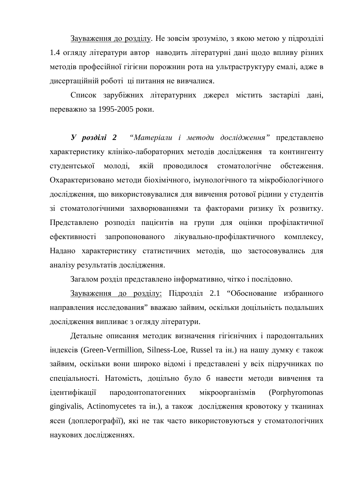Зауваження до розділу. Не зовсім зрозуміло, з якою метою у підрозділі 1.4 огляду літератури автор наводить літературні дані щодо впливу різних методів професійної гігієни порожнин рота на ультраструктуру емалі, адже в дисертаційній роботі ці питання не вивчалися.

Список зарубіжних літературних джерел містить застарілі дані, переважно за 1995-2005 роки.

**У розділі 2** "Матеріали і методи дослідження" представлено характеристику клініко-лабораторних методів дослідження та контингенту студентської молоді, якій проводилося стоматологічне обстеження. Охарактеризовано методи біохімічного, імунологічного та мікробіологічного дослідження, що використовувалися для вивчення ротової рідини у студентів зі стоматологічними захворюваннями та факторами ризику їх розвитку. Представлено розподіл пацієнтів на групи для оцінки профілактичної ефективності запропонованого лікувально-профілактичного комплексу, Надано характеристику статистичних методів, що застосовувались для аналізу результатів дослідження.

Загалом розділ представлено інформативно, чітко і послідовно.

Зауваження до розділу: Підрозділ 2.1 "Обоснование избранного направления исследования" вважаю зайвим, оскільки доцільність подальших дослідження випливає з огляду літератури.

Детальне описання методик визначення гігієнічних і пародонтальних iндексiв (Green-Vermillion, Silness-Loe, Russel та iн.) на нашу думку є також зайвим, оскільки вони широко відомі і представлені у всіх підручниках по спеціальності. Натомість, доцільно було б навести методи вивчення та iдентифiкацiї пародонтопатогенних мiкроорганiзмiв (Porphyromonas gingivalis, Actinomycetes та ін.), а також дослідження кровотоку у тканинах ясен (доплерографії), які не так часто використовуються у стоматологічних наукових лослілженнях.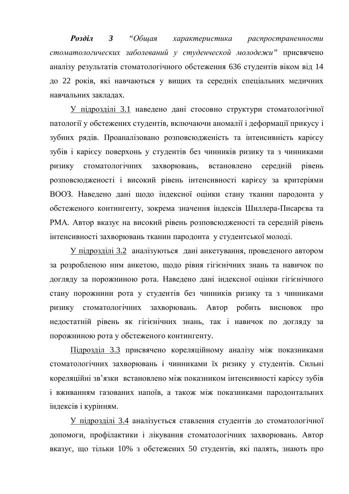**Розділ 3** "Общая характеристика распространенности стоматологических заболеваний у студенческой молодежи" присвячено аналізу результатів стоматологічного обстеження 636 студентів віком від 14 до 22 років, які навчаються у вищих та середніх спеціальних медичних навчальних заклалах.

У підрозділі 3.1 наведено дані стосовно структури стоматологічної патології у обстежених студентів, включаючи аномалії і деформації прикусу і зубних рядів. Проаналізовано розповсюдженість та інтенсивність карієсу зубів і карієсу поверхонь у студентів без чинників ризику та з чинниками ризику стоматологічних захворювань, встановлено середній рівень розповсюдженості і високий рівень інтенсивності карієсу за критеріями ВООЗ. Наведено дані щодо індексної оцінки стану тканин пародонта у обстеженого контингенту, зокрема значення індексів Шиллера-Писарєва та РМА. Автор вказує на високий рівень розповсюдженості та середній рівень інтенсивності захворювань тканин пародонта у студентської молоді.

У підрозділі 3.2 аналізуються дані анкетування, проведеного автором за розробленою ним анкетою, щодо рівня гігієнічних знань та навичок по догляду за порожниною рота. Наведено дані індексної оцінки гігієнічного стану порожнини рота у студентів без чинників ризику та з чинниками ризику стоматологічних захворювань. Автор робить висновок про недостатній рівень як гігієнічних знань, так і навичок по догляду за порожниною рота у обстеженого контингенту.

Підрозділ 3.3 присвячено кореляційному аналізу між показниками стоматологічних захворювань і чинниками їх ризику у студентів. Сильні кореляційні зв'язки встановлено між показником інтенсивності карієсу зубів і вживанням газованих напоїв, а також між показниками пародонтальних індексів і курінням.

У підрозділі 3.4 аналізується ставлення студентів до стоматологічної допомоги, профілактики і лікування стоматологічних захворювань. Автор вказує, що тільки 10% з обстежених 50 студентів, які палять, знають про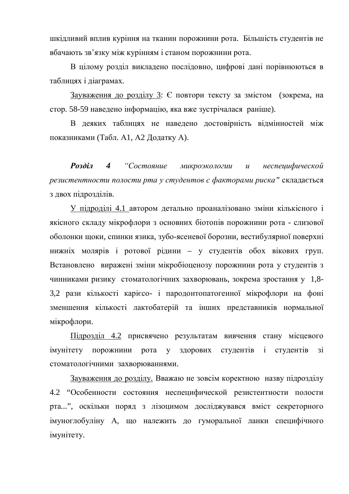шкідливий вплив куріння на тканин порожнини рота. Більшість студентів не вбачають зв'язку між курінням і станом порожнини рота.

В цілому розділ викладено послідовно, цифрові дані порівнюються в таблицях і діаграмах.

Зауваження до розділу 3: Є повтори тексту за змістом (зокрема, на стор. 58-59 наведено інформацію, яка вже зустрічалася раніше).

В деяких таблицях не наведено достовірність відмінностей між показниками (Табл. А1, А2 Додатку А).

*Ɋɨɡɞɿɥ 4 ³ɋɨɫɬɨɹɧɢɟ ɦɢɤɪɨɷɤɨɥɨɝɢɢ ɢ ɧɟɫɩɟɰɢɮɢɱɟɫɤɨɣ* резистентности полости рта у студентов с факторами риска" складається з двох підрозділів.

У підроділі 4.1 автором детально проаналізовано зміни кількісного і якісного складу мікрофлори з основних біотопів порожнини рота - слизової оболонки щоки, спинки язика, зубо-ясеневої борозни, вестибулярної поверхні нижніх молярів і ротової рідини – у студентів обох вікових груп. Встановлено виражені зміни мікробіоценозу порожнини рота у студентів з чинниками ризику стоматологічних захворювань, зокрема зростання у 1,8-3,2 рази кількості карієсо- і пародонтопатогенної мікрофлори на фоні зменшення кількості лактобатерій та інших представників нормальної мікрофлори.

Підрозділ 4.2 присвячено результатам вивчення стану місцевого імунітету порожнини рота у здорових студентів і студентів зі стоматологічними захворюваннями.

Зауваження до розділу. Вважаю не зовсім коректною назву підрозділу 4.2 "Особенности состояния неспецифической резистентности полости рта...", оскільки поряд з лізоцимом досліджувався вміст секреторного імуноглобуліну А, що належить до гуморальної ланки специфічного imvhitety.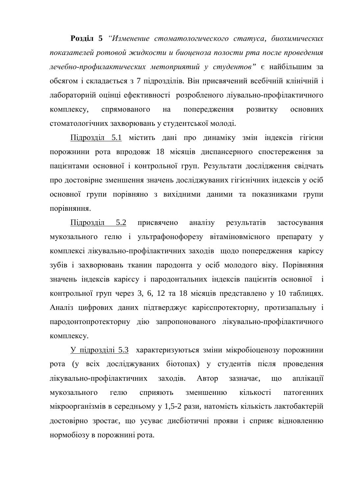**Розділ 5** "Изменение стоматологического статуса, биохимических показателей ротовой жидкости и биоценоза полости рта после проведения дечебно-профилактических метоприятий у студентов" є найбільшим за обсягом і складається з 7 підрозділів. Він присвячений всебічній клінічній і лабораторній оцінці ефективності розробленого ліувально-профілактичного комплексу, спрямованого на попередження розвитку основних стоматологічних захворювань у студентської молоді.

Підрозділ 5.1 містить дані про динаміку змін індексів гігієни порожнини рота впродовж 18 місяців диспансерного спостереження за пацієнтами основної і контрольної груп. Результати дослідження свідчать про достовірне зменшення значень досліджуваних гігієнічних індексів у осіб основної групи порівняно з вихідними даними та показниками групи порівняння.

Підрозділ 5.2 присвячено аналізу результатів застосування мукозального гелю і ультрафонофорезу вітаміновмісного препарату у комплексі лікувально-профілактичних заходів щодо попередження карієсу зубів і захворювань тканин пародонта у осіб молодого віку. Порівняння значень індексів карієсу і пародонтальних індексів пацієнтів основної і контрольної груп через 3, 6, 12 та 18 місяців представлено у 10 таблицях. Аналіз цифрових даних підтверджує карієспротекторну, протизапальну і пародонтопротекторну дію запропонованого лікувально-профілактичного комплексу.

У підрозділі 5.3 характеризуються зміни мікробіоценозу порожнини рота (у всіх досліджуваних біотопах) у студентів після проведення лікувально-профілактичних заходів. Автор зазначає, що аплікації мукозального гелю сприяють зменшенню кількості патогенних мікроорганізмів в середньому у 1,5-2 рази, натомість кількість лактобактерій достовірно зростає, що усуває дисбіотичні прояви і сприяє відновленню нормобіозу в порожнині рота.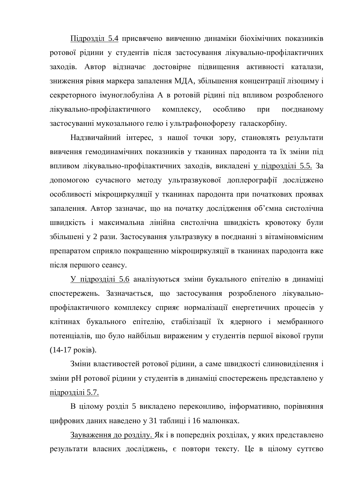Підрозділ 5.4 присвячено вивченню динаміки біохімічних показників ротової рідини у студентів після застосування лікувально-профілактичних заходів. Автор відзначає достовірне підвищення активності каталази, зниження рівня маркера запалення МДА, збільшення концентрації лізоциму і секреторного імуноглобуліна А в ротовій рідині під впливом розробленого лікувально-профілактичного комплексу, особливо при поєднаному застосуванні мукозального гелю і ультрафонофорезу галаскорбіну.

Надзвичайний інтерес, з нашої точки зору, становлять результати вивчення гемодинамічних показників у тканинах пародонта та їх зміни під впливом лікувально-профілактичних заходів, викладені у підрозділі 5.5. За допомогою сучасного методу ультразвукової доплерографії досліджено особливості мікроциркуляції у тканинах пародонта при початкових проявах запалення. Автор зазначає, що на початку дослідження об'ємна систолічна швидкість і максимальна лінійна систолічна швидкість кровотоку були збільшені у 2 рази. Застосування ультразвуку в поєднанні з вітаміновмісним препаратом сприяло покращенню мікроциркуляції в тканинах пародонта вже після першого сеансу.

У підрозділі 5.6 аналізуються зміни букального епітелію в динаміці спостережень. Зазначається, що застосування розробленого лікувальнопрофілактичного комплексу сприяє нормалізації енергетичних процесів у клітинах букального епітелію, стабілізації їх ядерного і мембранного потенціалів, що було найбільш вираженим у студентів першої вікової групи  $(14-17 \text{ pokis}).$ 

Зміни властивостей ротової рідини, а саме швидкості слиновиділення і зміни рН ротової рідини у студентів в динаміці спостережень представлено у підрозділі  $5.7$ .

В цілому розділ 5 викладено переконливо, інформативно, порівняння цифрових даних наведено у 31 таблиці і 16 малюнках.

Зауваження до розділу. Як і в попередніх розділах, у яких представлено результати власних досліджень, є повтори тексту. Це в цілому суттєво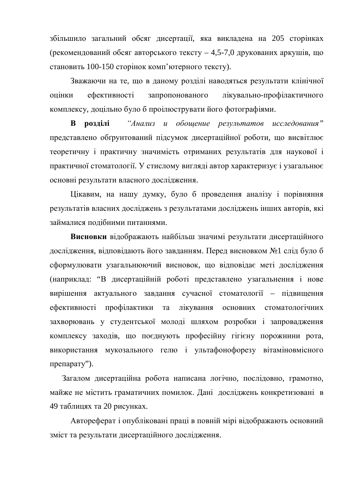збільшило загальний обсяг дисертації, яка викладена на 205 сторінках (рекомендований обсяг авторського тексту – 4,5-7,0 друкованих аркушів, що становить 100-150 сторінок комп'ютерного тексту).

Зважаючи на те, що в даному розділі наводяться результати клінічної оцінки ефективності запропонованого лікувально-профілактичного комплексу, доцільно було б проілюструвати його фотографіями.

**В розділі** "Анализ и обощение результатов исследования" представлено обгрунтований підсумок дисертаційної роботи, що висвітлює теоретичну і практичну значимість отриманих результатів для наукової і практичної стоматології. У стислому вигляді автор характеризує і узагальнює основні результати власного дослідження.

Цікавим, на нашу думку, було б проведення аналізу і порівняння результатів власних досліджень з результатами досліджень інших авторів, які займалися подібними питаннями.

Висновки відображають найбільш значимі результати дисертаційного дослідження, відповідають його завданням. Перед висновком №1 слід було б сформулювати узагальнюючий висновок, що відповідає меті дослідження (наприклад: "В лисертаційній роботі представлено узагальнення і нове вирішення актуального завдання сучасної стоматології - підвищення ефективності профілактики та лікування основних стоматологічних захворювань у студентської молоді шляхом розробки і запровадження комплексу заходів, що поєднують професійну гігієну порожнини рота, використання мукозального гелю і ультафонофорезу вітаміновмісного препарату").

Загалом дисертаційна робота написана логічно, послідовно, грамотно, майже не містить граматичних помилок. Дані досліджень конкретизовані в 49 таблицях та 20 рисунках.

Автореферат і опубліковані праці в повній мірі відображають основний зміст та результати дисертаційного дослідження.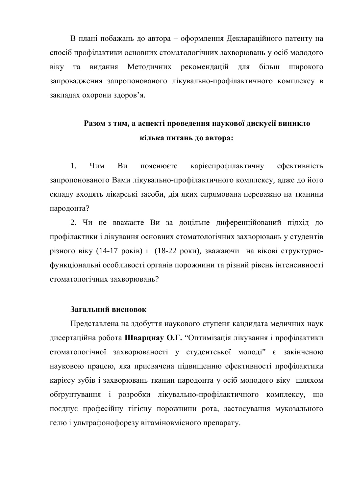В плані побажань до автора – оформлення Деклараційного патенту на спосіб профілактики основних стоматологічних захворювань у осіб молодого віку та видання Методичних рекомендацій для більш широкого запровадження запропонованого лікувально-профілактичного комплексу в закладах охорони здоров'я.

# Разом з тим, а аспекті проведення наукової дискусії виникло **кілька питань до автора:**

1. Чим Ви пояснюєте карієспрофілактичну ефективність запропонованого Вами лікувально-профілактичного комплексу, адже до його складу входять лікарські засоби, дія яких спрямована переважно на тканини пародонта?

2. Чи не вважаєте Ви за доцільне диференційований підхід до профілактики і лікування основних стоматологічних захворювань у студентів різного віку (14-17 років) і (18-22 роки), зважаючи на вікові структурнофункціональні особливості органів порожнини та різний рівень інтенсивності стоматологічних захворювань?

# Загальний висновок

Представлена на здобуття наукового ступеня кандидата медичних наук дисертаційна робота Шварцнау О.Г. "Оптимізація лікування і профілактики стоматологічної захворюваності у студентської молоді" є закінченою науковою працею, яка присвячена підвищенню ефективності профілактики карієсу зубів і захворювань тканин пародонта у осіб молодого віку шляхом обґрунтування і розробки лікувально-профілактичного комплексу, що поєднує професійну гігієну порожнини рота, застосування мукозального гелю і ультрафонофорезу вітаміновмісного препарату.